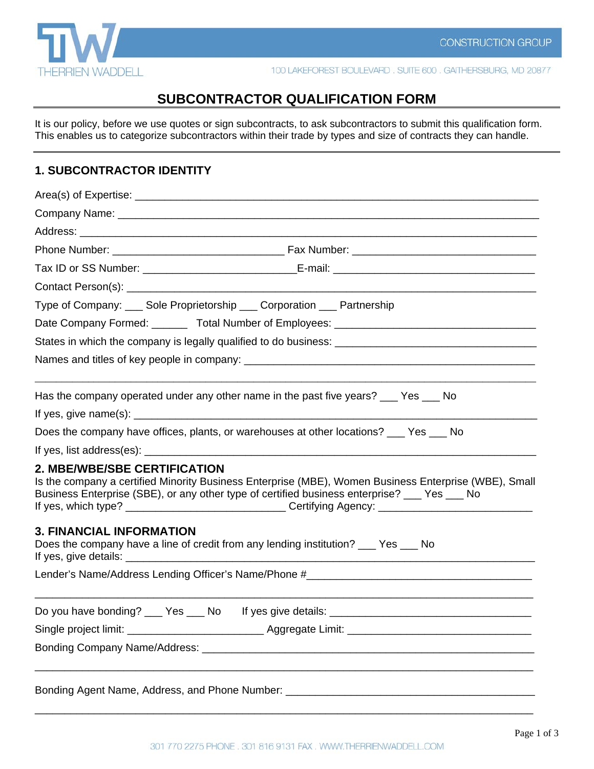

100 LAKEFOREST BOULEVARD. SUITE 600. GAITHERSBURG, MD 20877

# **SUBCONTRACTOR QUALIFICATION FORM**

It is our policy, before we use quotes or sign subcontracts, to ask subcontractors to submit this qualification form. This enables us to categorize subcontractors within their trade by types and size of contracts they can handle.

## **1. SUBCONTRACTOR IDENTITY**

| Type of Company: Sole Proprietorship Corporation Partnership                                                                                                                                                                                                                                                                                       |  |  |  |
|----------------------------------------------------------------------------------------------------------------------------------------------------------------------------------------------------------------------------------------------------------------------------------------------------------------------------------------------------|--|--|--|
|                                                                                                                                                                                                                                                                                                                                                    |  |  |  |
|                                                                                                                                                                                                                                                                                                                                                    |  |  |  |
|                                                                                                                                                                                                                                                                                                                                                    |  |  |  |
| Has the company operated under any other name in the past five years? ___ Yes ___ No                                                                                                                                                                                                                                                               |  |  |  |
| If yes, give name(s): $\frac{1}{2}$ and $\frac{1}{2}$ and $\frac{1}{2}$ and $\frac{1}{2}$ and $\frac{1}{2}$ and $\frac{1}{2}$ and $\frac{1}{2}$ and $\frac{1}{2}$ and $\frac{1}{2}$ and $\frac{1}{2}$ and $\frac{1}{2}$ and $\frac{1}{2}$ and $\frac{1}{2}$ and $\frac{1}{2}$ and $\frac$                                                          |  |  |  |
| Does the company have offices, plants, or warehouses at other locations? __ Yes __ No                                                                                                                                                                                                                                                              |  |  |  |
|                                                                                                                                                                                                                                                                                                                                                    |  |  |  |
| <b>2. MBE/WBE/SBE CERTIFICATION</b><br>Is the company a certified Minority Business Enterprise (MBE), Women Business Enterprise (WBE), Small<br>Business Enterprise (SBE), or any other type of certified business enterprise? __ Yes __ No<br>If yes, which type? _________________________________Certifying Agency: ___________________________ |  |  |  |
| <b>3. FINANCIAL INFORMATION</b><br>Does the company have a line of credit from any lending institution? ___ Yes ___ No                                                                                                                                                                                                                             |  |  |  |
|                                                                                                                                                                                                                                                                                                                                                    |  |  |  |
|                                                                                                                                                                                                                                                                                                                                                    |  |  |  |
|                                                                                                                                                                                                                                                                                                                                                    |  |  |  |
|                                                                                                                                                                                                                                                                                                                                                    |  |  |  |
| Bonding Agent Name, Address, and Phone Number: __________________________________                                                                                                                                                                                                                                                                  |  |  |  |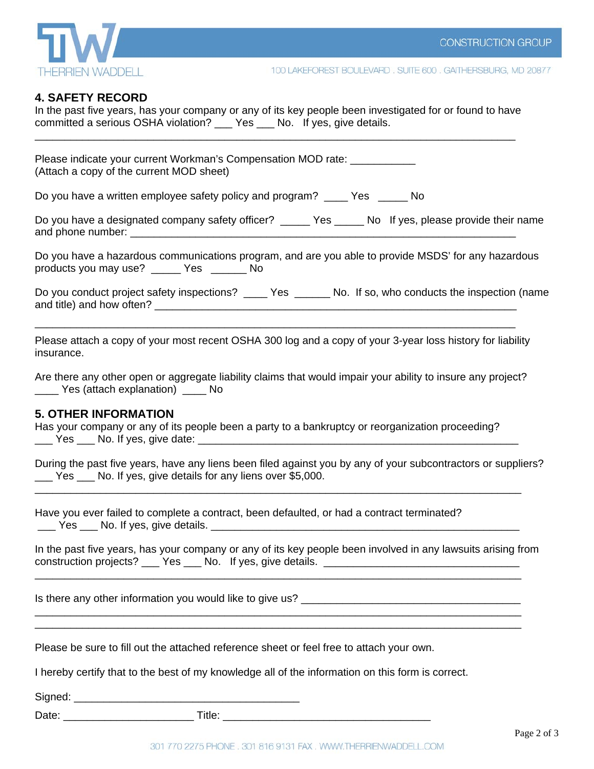

### **4. SAFETY RECORD**

In the past five years, has your company or any of its key people been investigated for or found to have committed a serious OSHA violation? Yes No. If yes, give details. \_\_\_\_\_\_\_\_\_\_\_\_\_\_\_\_\_\_\_\_\_\_\_\_\_\_\_\_\_\_\_\_\_\_\_\_\_\_\_\_\_\_\_\_\_\_\_\_\_\_\_\_\_\_\_\_\_\_\_\_\_\_\_\_\_\_\_\_\_\_\_\_\_\_\_\_\_\_\_\_\_

Please indicate your current Workman's Compensation MOD rate: \_\_\_\_\_\_\_\_\_\_\_\_\_\_\_\_\_\_ (Attach a copy of the current MOD sheet)

Do you have a written employee safety policy and program? \_\_\_\_ Yes \_\_\_\_\_ No

Do you have a designated company safety officer? The State Mold fives, please provide their name and phone number:  $\Box$ 

Do you have a hazardous communications program, and are you able to provide MSDS' for any hazardous products you may use? \_\_\_\_\_ Yes \_\_\_\_\_\_ No

Do you conduct project safety inspections? \_\_\_\_\_ Yes \_\_\_\_\_\_\_ No. If so, who conducts the inspection (name and title) and how often?

Please attach a copy of your most recent OSHA 300 log and a copy of your 3-year loss history for liability insurance.

\_\_\_\_\_\_\_\_\_\_\_\_\_\_\_\_\_\_\_\_\_\_\_\_\_\_\_\_\_\_\_\_\_\_\_\_\_\_\_\_\_\_\_\_\_\_\_\_\_\_\_\_\_\_\_\_\_\_\_\_\_\_\_\_\_\_\_\_\_\_\_\_\_\_\_\_\_\_\_\_\_

Are there any other open or aggregate liability claims that would impair your ability to insure any project? \_\_\_\_ Yes (attach explanation) \_\_\_\_ No

#### **5. OTHER INFORMATION**

Has your company or any of its people been a party to a bankruptcy or reorganization proceeding? Yes No. If yes, give date:

During the past five years, have any liens been filed against you by any of your subcontractors or suppliers? Yes No. If yes, give details for any liens over \$5,000.

\_\_\_\_\_\_\_\_\_\_\_\_\_\_\_\_\_\_\_\_\_\_\_\_\_\_\_\_\_\_\_\_\_\_\_\_\_\_\_\_\_\_\_\_\_\_\_\_\_\_\_\_\_\_\_\_\_\_\_\_\_\_\_\_\_\_\_\_\_\_\_\_\_\_\_\_\_\_\_\_\_\_

Have you ever failed to complete a contract, been defaulted, or had a contract terminated? Yes Lotter No. If yes, give details. The state of the state of the state of the state of the state of the state of the state of the state of the state of the state of the state of the state of the state of the state of the

In the past five years, has your company or any of its key people been involved in any lawsuits arising from construction projects? \_\_\_ Yes \_\_\_ No. If yes, give details. \_\_\_\_\_\_\_\_\_\_\_\_\_\_\_\_\_\_\_

\_\_\_\_\_\_\_\_\_\_\_\_\_\_\_\_\_\_\_\_\_\_\_\_\_\_\_\_\_\_\_\_\_\_\_\_\_\_\_\_\_\_\_\_\_\_\_\_\_\_\_\_\_\_\_\_\_\_\_\_\_\_\_\_\_\_\_\_\_\_\_\_\_\_\_\_\_\_\_\_\_\_

\_\_\_\_\_\_\_\_\_\_\_\_\_\_\_\_\_\_\_\_\_\_\_\_\_\_\_\_\_\_\_\_\_\_\_\_\_\_\_\_\_\_\_\_\_\_\_\_\_\_\_\_\_\_\_\_\_\_\_\_\_\_\_\_\_\_\_\_\_\_\_\_\_\_\_\_\_\_\_\_\_\_ \_\_\_\_\_\_\_\_\_\_\_\_\_\_\_\_\_\_\_\_\_\_\_\_\_\_\_\_\_\_\_\_\_\_\_\_\_\_\_\_\_\_\_\_\_\_\_\_\_\_\_\_\_\_\_\_\_\_\_\_\_\_\_\_\_\_\_\_\_\_\_\_\_\_\_\_\_\_\_\_\_\_

Is there any other information you would like to give us?

Please be sure to fill out the attached reference sheet or feel free to attach your own.

I hereby certify that to the best of my knowledge all of the information on this form is correct.

Signed:  $\Box$ 

Date: \_\_\_\_\_\_\_\_\_\_\_\_\_\_\_\_\_\_\_\_\_\_ Title: \_\_\_\_\_\_\_\_\_\_\_\_\_\_\_\_\_\_\_\_\_\_\_\_\_\_\_\_\_\_\_\_\_\_\_